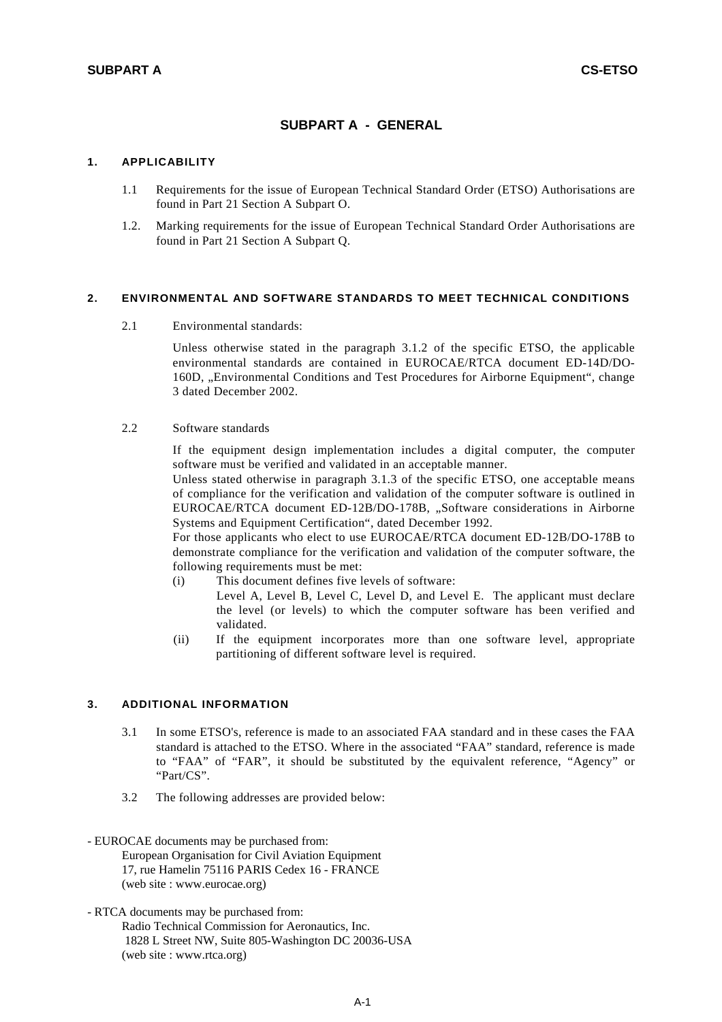# **SUBPART A - GENERAL**

#### **1. APPLICABILITY**

- 1.1 Requirements for the issue of European Technical Standard Order (ETSO) Authorisations are found in Part 21 Section A Subpart O.
- 1.2. Marking requirements for the issue of European Technical Standard Order Authorisations are found in Part 21 Section A Subpart Q.

## **2. ENVIRONMENTAL AND SOFTWARE STANDARDS TO MEET TECHNICAL CONDITIONS**

2.1 Environmental standards:

 Unless otherwise stated in the paragraph 3.1.2 of the specific ETSO, the applicable environmental standards are contained in EUROCAE/RTCA document ED-14D/DO-160D, "Environmental Conditions and Test Procedures for Airborne Equipment", change 3 dated December 2002.

### 2.2 Software standards

 If the equipment design implementation includes a digital computer, the computer software must be verified and validated in an acceptable manner.

 Unless stated otherwise in paragraph 3.1.3 of the specific ETSO, one acceptable means of compliance for the verification and validation of the computer software is outlined in EUROCAE/RTCA document ED-12B/DO-178B, "Software considerations in Airborne Systems and Equipment Certification", dated December 1992.

 For those applicants who elect to use EUROCAE/RTCA document ED-12B/DO-178B to demonstrate compliance for the verification and validation of the computer software, the following requirements must be met:

- (i) This document defines five levels of software:
	- Level A, Level B, Level C, Level D, and Level E. The applicant must declare the level (or levels) to which the computer software has been verified and validated.
- (ii) If the equipment incorporates more than one software level, appropriate partitioning of different software level is required.

### **3. ADDITIONAL INFORMATION**

- 3.1 In some ETSO's, reference is made to an associated FAA standard and in these cases the FAA standard is attached to the ETSO. Where in the associated "FAA" standard, reference is made to "FAA" of "FAR", it should be substituted by the equivalent reference, "Agency" or "Part/CS".
- 3.2 The following addresses are provided below:
- EUROCAE documents may be purchased from: European Organisation for Civil Aviation Equipment 17, rue Hamelin 75116 PARIS Cedex 16 - FRANCE (web site : www.eurocae.org)
- RTCA documents may be purchased from: Radio Technical Commission for Aeronautics, Inc. 1828 L Street NW, Suite 805-Washington DC 20036-USA (web site : www.rtca.org)